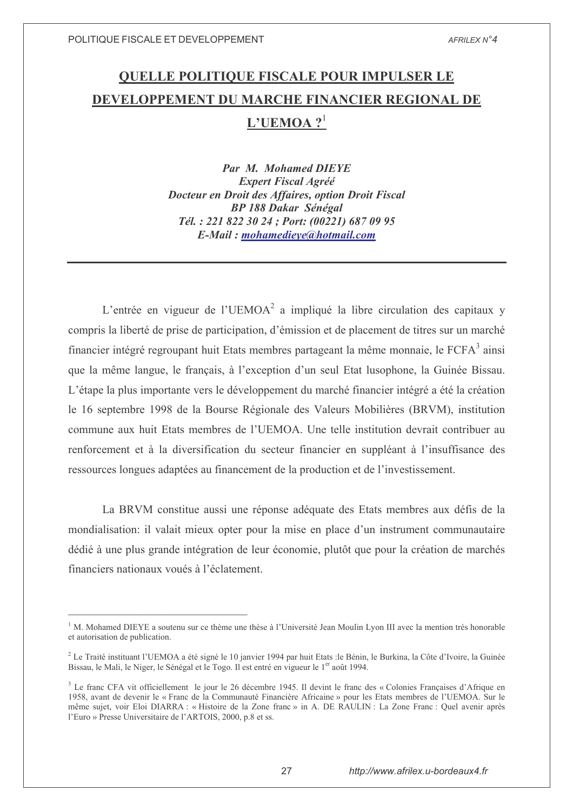# **QUELLE POLITIQUE FISCALE POUR IMPULSER LE** DEVELOPPEMENT DU MARCHE FINANCIER REGIONAL DE  $L'UEMOA?$ <sup>1</sup>

**Par M. Mohamed DIEYE Expert Fiscal Agréé** Docteur en Droit des Affaires, option Droit Fiscal **BP 188 Dakar Sénégal** Tél.: 221 822 30 24 ; Port: (00221) 687 09 95 E-Mail: mohamedieye@hotmail.com

L'entrée en vigueur de l'UEMOA<sup>2</sup> a impliqué la libre circulation des capitaux y compris la liberté de prise de participation, d'émission et de placement de titres sur un marché financier intégré regroupant huit Etats membres partageant la même monnaie. le FCFA<sup>3</sup> ainsi que la même langue, le français, à l'exception d'un seul Etat lusophone, la Guinée Bissau. L'étape la plus importante vers le développement du marché financier intégré a été la création le 16 septembre 1998 de la Bourse Régionale des Valeurs Mobilières (BRVM), institution commune aux huit Etats membres de l'UEMOA. Une telle institution devrait contribuer au renforcement et à la diversification du secteur financier en suppléant à l'insuffisance des ressources longues adaptées au financement de la production et de l'investissement.

La BRVM constitue aussi une réponse adéquate des Etats membres aux défis de la mondialisation: il valait mieux opter pour la mise en place d'un instrument communautaire dédié à une plus grande intégration de leur économie, plutôt que pour la création de marchés financiers nationaux voués à l'éclatement.

<sup>&</sup>lt;sup>1</sup> M. Mohamed DIEYE a soutenu sur ce thème une thèse à l'Université Jean Moulin Lyon III avec la mention très honorable et autorisation de publication.

<sup>&</sup>lt;sup>2</sup> Le Traité instituant l'UEMOA a été signé le 10 janvier 1994 par huit Etats :le Bénin, le Burkina, la Côte d'Ivoire, la Guinée Bissau, le Mali, le Niger, le Sénégal et le Togo. Il est entré en vigueur le 1<sup>er</sup> août 1994.

<sup>&</sup>lt;sup>3</sup> Le franc CFA vit officiellement le jour le 26 décembre 1945. Il devint le franc des « Colonies Francaises d'Afrique en 1958, avant de devenir le « Franc de la Communauté Financière Africaine » pour les Etats membres de l'UEMOA. Sur le même sujet, voir Eloi DIARRA : « Histoire de la Zone franc » in A. DE RAULIN : La Zone Franc : Quel avenir après l'Euro » Presse Universitaire de l'ARTOIS, 2000, p.8 et ss.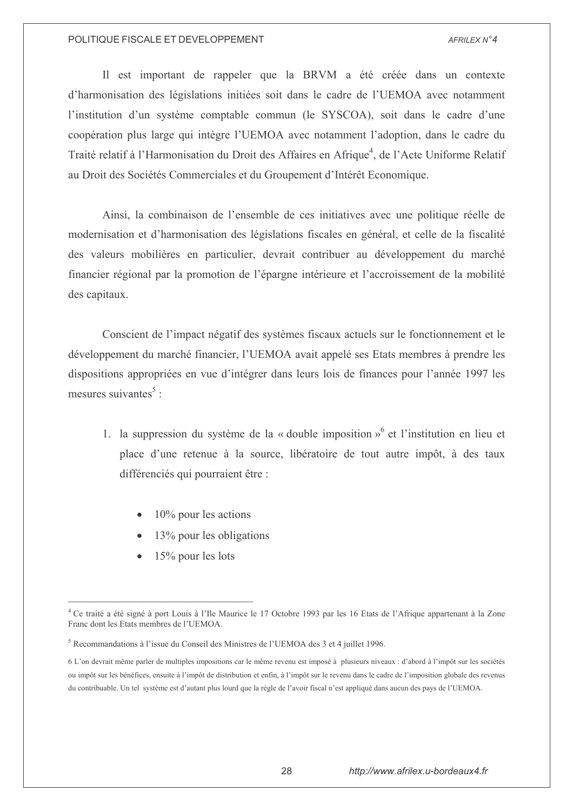Il est important de rappeler que la BRVM a été créée dans un contexte d'harmonisation des législations initiées soit dans le cadre de l'UEMOA avec notamment l'institution d'un système comptable commun (le SYSCOA), soit dans le cadre d'une coopération plus large qui intègre l'UEMOA avec notamment l'adoption, dans le cadre du Traité relatif à l'Harmonisation du Droit des Affaires en Afrique<sup>4</sup>, de l'Acte Uniforme Relatif au Droit des Sociétés Commerciales et du Groupement d'Intérêt Economique.

Ainsi, la combinaison de l'ensemble de ces initiatives avec une politique réelle de modernisation et d'harmonisation des législations fiscales en général, et celle de la fiscalité des valeurs mobilières en particulier, devrait contribuer au développement du marché financier régional par la promotion de l'épargne intérieure et l'accroissement de la mobilité des capitaux.

Conscient de l'impact négatif des systèmes fiscaux actuels sur le fonctionnement et le développement du marché financier, l'UEMOA avait appelé ses Etats membres à prendre les dispositions appropriées en vue d'intégrer dans leurs lois de finances pour l'année 1997 les mesures suivantes<sup>5</sup>:

- 1. la suppression du système de la « double imposition » et l'institution en lieu et place d'une retenue à la source, libératoire de tout autre impôt, à des taux différenciés qui pourraient être :
	- $10\%$  pour les actions
	- 13% pour les obligations
	- 15% pour les lots

<sup>&</sup>lt;sup>4</sup> Ce traité a été signé à port Louis à l'Ile Maurice le 17 Octobre 1993 par les 16 Etats de l'Afrique appartenant à la Zone Franc dont les Etats membres de l'UEMOA.

<sup>&</sup>lt;sup>5</sup> Recommandations à l'issue du Conseil des Ministres de l'UEMOA des 3 et 4 juillet 1996.

<sup>6</sup> L'on devrait même parler de multiples impositions car le même revenu est imposé à plusieurs niveaux : d'abord à l'impôt sur les sociétés ou impôt sur les bénéfices, ensuite à l'impôt de distribution et enfin, à l'impôt sur le revenu dans le cadre de l'imposition globale des revenus du contribuable. Un tel système est d'autant plus lourd que la règle de l'avoir fiscal n'est appliqué dans aucun des pays de l'UEMOA.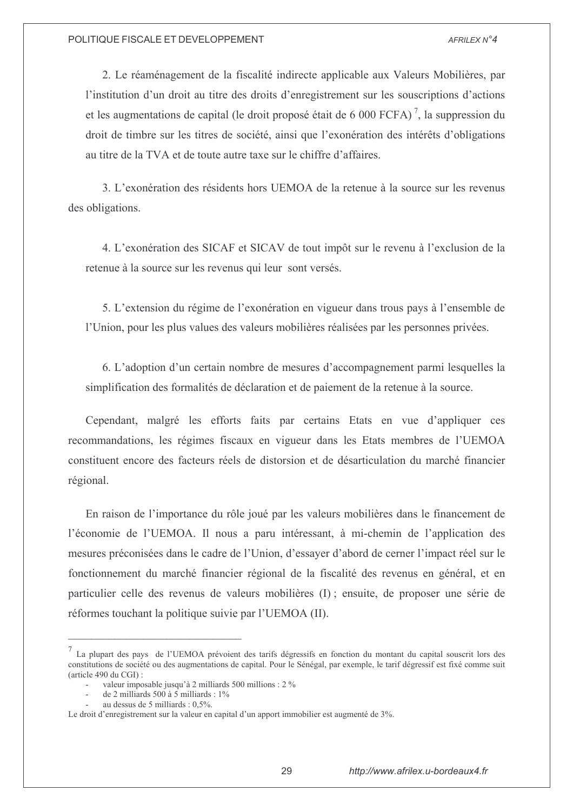2. Le réaménagement de la fiscalité indirecte applicable aux Valeurs Mobilières, par l'institution d'un droit au titre des droits d'enregistrement sur les souscriptions d'actions et les augmentations de capital (le droit proposé était de 6 000 FCFA)<sup>7</sup>, la suppression du droit de timbre sur les titres de société, ainsi que l'exonération des intérêts d'obligations au titre de la TVA et de toute autre taxe sur le chiffre d'affaires.

3. L'exonération des résidents hors UEMOA de la retenue à la source sur les revenus des obligations.

4. L'exonération des SICAF et SICAV de tout impôt sur le revenu à l'exclusion de la retenue à la source sur les revenus qui leur sont versés.

5. L'extension du régime de l'exonération en vigueur dans trous pays à l'ensemble de l'Union, pour les plus values des valeurs mobilières réalisées par les personnes privées.

6. L'adoption d'un certain nombre de mesures d'accompagnement parmi lesquelles la simplification des formalités de déclaration et de paiement de la retenue à la source.

Cependant, malgré les efforts faits par certains Etats en vue d'appliquer ces recommandations, les régimes fiscaux en vigueur dans les Etats membres de l'UEMOA constituent encore des facteurs réels de distorsion et de désarticulation du marché financier régional.

En raison de l'importance du rôle joué par les valeurs mobilières dans le financement de l'économie de l'UEMOA. Il nous a paru intéressant, à mi-chemin de l'application des mesures préconisées dans le cadre de l'Union, d'essayer d'abord de cerner l'impact réel sur le fonctionnement du marché financier régional de la fiscalité des revenus en général, et en particulier celle des revenus de valeurs mobilières (I); ensuite, de proposer une série de réformes touchant la politique suivie par l'UEMOA (II).

La plupart des pays de l'UEMOA prévoient des tarifs dégressifs en fonction du montant du capital souscrit lors des constitutions de société ou des augmentations de capital. Pour le Sénégal, par exemple, le tarif dégressif est fixé comme suit (article 490 du CGI):

valeur imposable jusqu'à 2 milliards 500 millions : 2 %

de 2 milliards 500 à 5 milliards : 1%

au dessus de 5 milliards : 0,5%.

Le droit d'enregistrement sur la valeur en capital d'un apport immobilier est augmenté de 3%.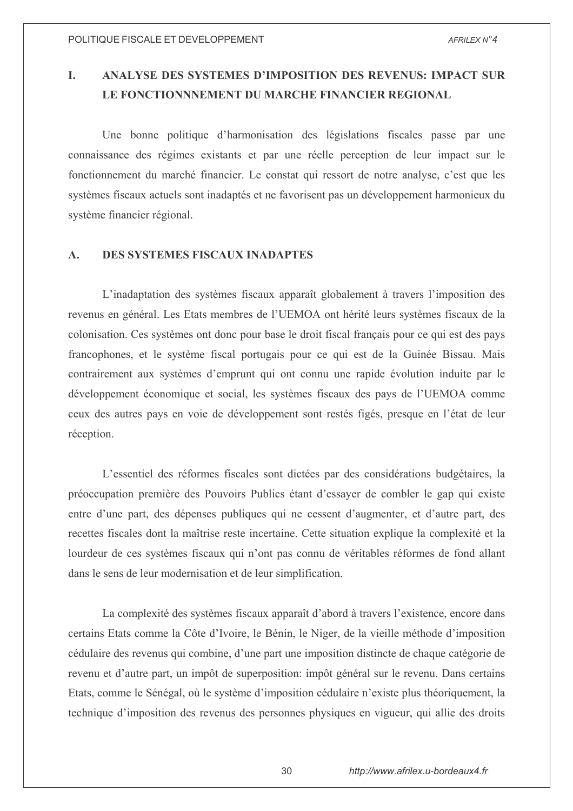### L. ANALYSE DES SYSTEMES D'IMPOSITION DES REVENUS: IMPACT SUR LE FONCTIONNNEMENT DU MARCHE FINANCIER REGIONAL

Une bonne politique d'harmonisation des législations fiscales passe par une connaissance des régimes existants et par une réelle perception de leur impact sur le fonctionnement du marché financier. Le constat qui ressort de notre analyse, c'est que les systèmes fiscaux actuels sont inadaptés et ne favorisent pas un développement harmonieux du système financier régional.

#### **DES SYSTEMES FISCAUX INADAPTES**  $\mathbf{A}$ .

L'inadaptation des systèmes fiscaux apparaît globalement à travers l'imposition des revenus en général. Les Etats membres de l'UEMOA ont hérité leurs systèmes fiscaux de la colonisation. Ces systèmes ont donc pour base le droit fiscal français pour ce qui est des pays francophones, et le système fiscal portugais pour ce qui est de la Guinée Bissau. Mais contrairement aux systèmes d'emprunt qui ont connu une rapide évolution induite par le développement économique et social, les systèmes fiscaux des pays de l'UEMOA comme ceux des autres pays en voie de développement sont restés figés, presque en l'état de leur réception.

L'essentiel des réformes fiscales sont dictées par des considérations budgétaires, la préoccupation première des Pouvoirs Publics étant d'essayer de combler le gap qui existe entre d'une part, des dépenses publiques qui ne cessent d'augmenter, et d'autre part, des recettes fiscales dont la maîtrise reste incertaine. Cette situation explique la complexité et la lourdeur de ces systèmes fiscaux qui n'ont pas connu de véritables réformes de fond allant dans le sens de leur modernisation et de leur simplification.

La complexité des systèmes fiscaux apparaît d'abord à travers l'existence, encore dans certains Etats comme la Côte d'Ivoire, le Bénin, le Niger, de la vieille méthode d'imposition cédulaire des revenus qui combine, d'une part une imposition distincte de chaque catégorie de revenu et d'autre part, un impôt de superposition: impôt général sur le revenu. Dans certains Etats, comme le Sénégal, où le système d'imposition cédulaire n'existe plus théoriquement, la technique d'imposition des revenus des personnes physiques en vigueur, qui allie des droits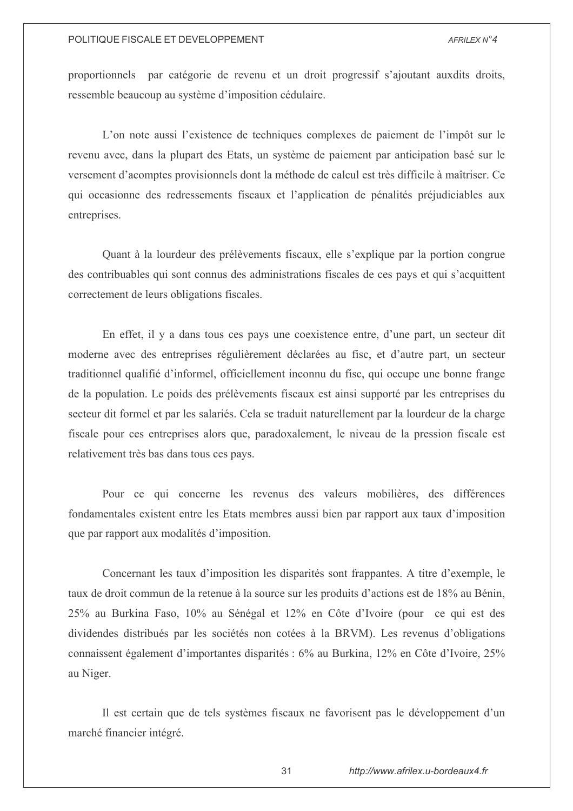proportionnels par catégorie de revenu et un droit progressif s'ajoutant aux dits droits, ressemble beaucoup au système d'imposition cédulaire.

L'on note aussi l'existence de techniques complexes de paiement de l'impôt sur le revenu avec, dans la plupart des Etats, un système de paiement par anticipation basé sur le versement d'acomptes provisionnels dont la méthode de calcul est très difficile à maîtriser. Ce qui occasionne des redressements fiscaux et l'application de pénalités préjudiciables aux entreprises.

Quant à la lourdeur des prélèvements fiscaux, elle s'explique par la portion congrue des contribuables qui sont connus des administrations fiscales de ces pays et qui s'acquittent correctement de leurs obligations fiscales.

En effet, il y a dans tous ces pays une coexistence entre, d'une part, un secteur dit moderne avec des entreprises régulièrement déclarées au fisc, et d'autre part, un secteur traditionnel qualifié d'informel, officiellement inconnu du fisc, qui occupe une bonne frange de la population. Le poids des prélèvements fiscaux est ainsi supporté par les entreprises du secteur dit formel et par les salariés. Cela se traduit naturellement par la lourdeur de la charge fiscale pour ces entreprises alors que, paradoxalement, le niveau de la pression fiscale est relativement très bas dans tous ces pays.

Pour ce qui concerne les revenus des valeurs mobilières, des différences fondamentales existent entre les Etats membres aussi bien par rapport aux taux d'imposition que par rapport aux modalités d'imposition.

Concernant les taux d'imposition les disparités sont frappantes. A titre d'exemple, le taux de droit commun de la retenue à la source sur les produits d'actions est de 18% au Bénin, 25% au Burkina Faso, 10% au Sénégal et 12% en Côte d'Ivoire (pour ce qui est des dividendes distribués par les sociétés non cotées à la BRVM). Les revenus d'obligations connaissent également d'importantes disparités : 6% au Burkina, 12% en Côte d'Ivoire, 25% au Niger.

Il est certain que de tels systèmes fiscaux ne favorisent pas le développement d'un marché financier intégré.

31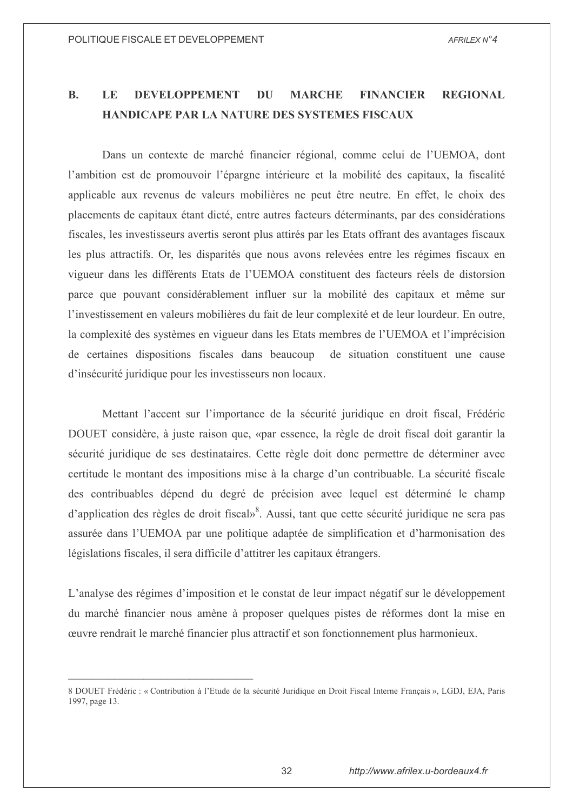#### $\mathbf{R}$ . LE **DEVELOPPEMENT** DU **MARCHE FINANCIER REGIONAL HANDICAPE PAR LA NATURE DES SYSTEMES FISCAUX**

Dans un contexte de marché financier régional, comme celui de l'UEMOA, dont l'ambition est de promouvoir l'épargne intérieure et la mobilité des capitaux, la fiscalité applicable aux revenus de valeurs mobilières ne peut être neutre. En effet, le choix des placements de capitaux étant dicté, entre autres facteurs déterminants, par des considérations fiscales, les investisseurs avertis seront plus attirés par les Etats offrant des avantages fiscaux les plus attractifs. Or, les disparités que nous avons relevées entre les régimes fiscaux en vigueur dans les différents Etats de l'UEMOA constituent des facteurs réels de distorsion parce que pouvant considérablement influer sur la mobilité des capitaux et même sur l'investissement en valeurs mobilières du fait de leur complexité et de leur lourdeur. En outre, la complexité des systèmes en vigueur dans les Etats membres de l'UEMOA et l'imprécision de certaines dispositions fiscales dans beaucoup de situation constituent une cause d'insécurité juridique pour les investisseurs non locaux.

Mettant l'accent sur l'importance de la sécurité juridique en droit fiscal, Frédéric DOUET considère, à juste raison que, «par essence, la règle de droit fiscal doit garantir la sécurité juridique de ses destinataires. Cette règle doit donc permettre de déterminer avec certitude le montant des impositions mise à la charge d'un contribuable. La sécurité fiscale des contribuables dépend du degré de précision avec lequel est déterminé le champ d'application des règles de droit fiscal»<sup>8</sup>. Aussi, tant que cette sécurité juridique ne sera pas assurée dans l'UEMOA par une politique adaptée de simplification et d'harmonisation des législations fiscales, il sera difficile d'attitrer les capitaux étrangers.

L'analyse des régimes d'imposition et le constat de leur impact négatif sur le développement du marché financier nous amène à proposer quelques pistes de réformes dont la mise en œuvre rendrait le marché financier plus attractif et son fonctionnement plus harmonieux.

<sup>8</sup> DOUET Frédéric : « Contribution à l'Etude de la sécurité Juridique en Droit Fiscal Interne Français », LGDJ, EJA, Paris 1997, page 13.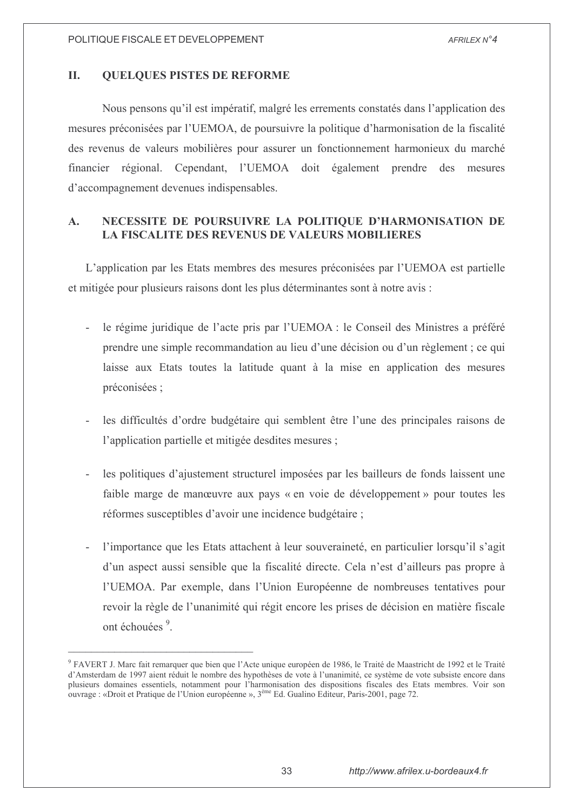#### II. **QUELQUES PISTES DE REFORME**

Nous pensons qu'il est impératif, malgré les errements constatés dans l'application des mesures préconisées par l'UEMOA, de poursuivre la politique d'harmonisation de la fiscalité des revenus de valeurs mobilières pour assurer un fonctionnement harmonieux du marché financier régional. Cependant, l'UEMOA doit également prendre des mesures d'accompagnement devenues indispensables.

### NECESSITE DE POURSUIVRE LA POLITIQUE D'HARMONISATION DE  $\mathbf{A}$ . **LA FISCALITE DES REVENUS DE VALEURS MOBILIERES**

L'application par les Etats membres des mesures préconisées par l'UEMOA est partielle et mitigée pour plusieurs raisons dont les plus déterminantes sont à notre avis :

- le régime juridique de l'acte pris par l'UEMOA : le Conseil des Ministres a préféré prendre une simple recommandation au lieu d'une décision ou d'un règlement ; ce qui laisse aux Etats toutes la latitude quant à la mise en application des mesures préconisées ;
- les difficultés d'ordre budgétaire qui semblent être l'une des principales raisons de l'application partielle et mitigée desdites mesures ;
- les politiques d'aiustement structurel imposées par les bailleurs de fonds laissent une faible marge de manœuvre aux pays « en voie de développement » pour toutes les réformes susceptibles d'avoir une incidence budgétaire ;
- l'importance que les Etats attachent à leur souveraineté, en particulier lorsqu'il s'agit L. d'un aspect aussi sensible que la fiscalité directe. Cela n'est d'ailleurs pas propre à l'UEMOA. Par exemple, dans l'Union Européenne de nombreuses tentatives pour revoir la règle de l'unanimité qui régit encore les prises de décision en matière fiscale ont échouées<sup>9</sup>.

<sup>&</sup>lt;sup>9</sup> FAVERT J. Marc fait remarquer que bien que l'Acte unique européen de 1986, le Traité de Maastricht de 1992 et le Traité d'Amsterdam de 1997 aient réduit le nombre des hypothèses de vote à l'unanimité, ce système de vote subsiste encore dans plusieurs domaines essentiels, notamment pour l'harmonisation des dispositions fiscales des Etats membres. Voir son ouvrage : «Droit et Pratique de l'Union européenne », 3<sup>ème</sup> Ed. Gualino Editeur, Paris-2001, page 72.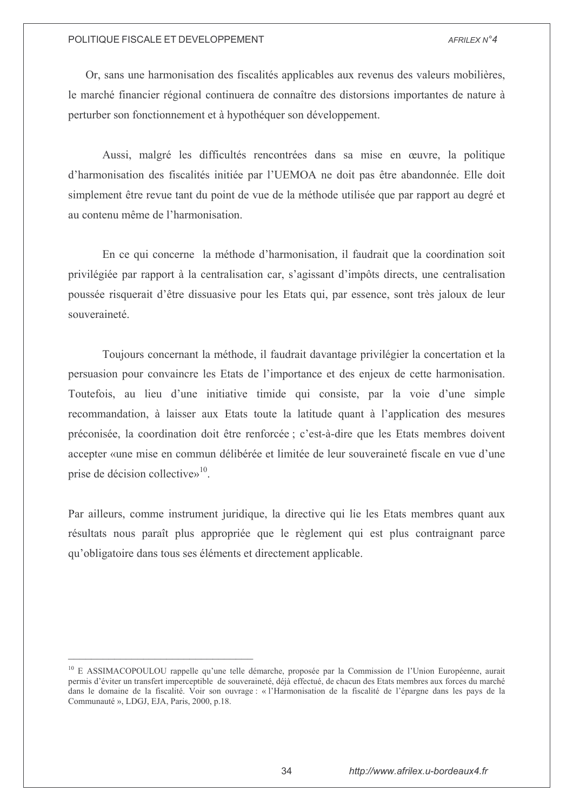Or, sans une harmonisation des fiscalités applicables aux revenus des valeurs mobilières, le marché financier régional continuera de connaître des distorsions importantes de nature à perturber son fonctionnement et à hypothéquer son développement.

Aussi, malgré les difficultés rencontrées dans sa mise en œuvre, la politique d'harmonisation des fiscalités initiée par l'UEMOA ne doit pas être abandonnée. Elle doit simplement être revue tant du point de vue de la méthode utilisée que par rapport au degré et au contenu même de l'harmonisation

En ce qui concerne la méthode d'harmonisation, il faudrait que la coordination soit privilégiée par rapport à la centralisation car, s'agissant d'impôts directs, une centralisation poussée risquerait d'être dissuasive pour les Etats qui, par essence, sont très jaloux de leur souveraineté

Toujours concernant la méthode, il faudrait davantage privilégier la concertation et la persuasion pour convaincre les Etats de l'importance et des enjeux de cette harmonisation. Toutefois, au lieu d'une initiative timide qui consiste, par la voie d'une simple recommandation, à laisser aux Etats toute la latitude quant à l'application des mesures préconisée, la coordination doit être renforcée ; c'est-à-dire que les Etats membres doivent accepter «une mise en commun délibérée et limitée de leur souveraineté fiscale en vue d'une prise de décision collective $v^{10}$ .

Par ailleurs, comme instrument juridique, la directive qui lie les Etats membres quant aux résultats nous paraît plus appropriée que le règlement qui est plus contraignant parce qu'obligatoire dans tous ses éléments et directement applicable.

<sup>&</sup>lt;sup>10</sup> E ASSIMACOPOULOU rappelle qu'une telle démarche, proposée par la Commission de l'Union Européenne, aurait permis d'éviter un transfert imperceptible de souveraineté, déjà effectué, de chacun des Etats membres aux forces du marché dans le domaine de la fiscalité. Voir son ouvrage : « l'Harmonisation de la fiscalité de l'épargne dans les pays de la Communauté », LDGJ, EJA, Paris, 2000, p.18.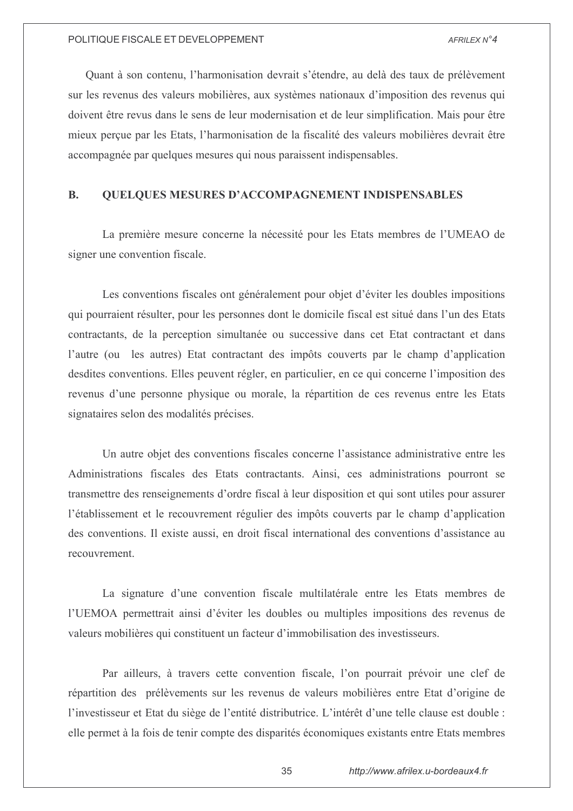Quant à son contenu, l'harmonisation devrait s'étendre, au delà des taux de prélèvement sur les revenus des valeurs mobilières, aux systèmes nationaux d'imposition des revenus qui doivent être revus dans le sens de leur modernisation et de leur simplification. Mais pour être mieux perçue par les Etats, l'harmonisation de la fiscalité des valeurs mobilières devrait être accompagnée par quelques mesures qui nous paraissent indispensables.

#### **QUELQUES MESURES D'ACCOMPAGNEMENT INDISPENSABLES B.**

La première mesure concerne la nécessité pour les Etats membres de l'UMEAO de signer une convention fiscale.

Les conventions fiscales ont généralement pour objet d'éviter les doubles impositions qui pourraient résulter, pour les personnes dont le domicile fiscal est situé dans l'un des Etats contractants, de la perception simultanée ou successive dans cet Etat contractant et dans l'autre (ou les autres) Etat contractant des impôts couverts par le champ d'application desdites conventions. Elles peuvent régler, en particulier, en ce qui concerne l'imposition des revenus d'une personne physique ou morale, la répartition de ces revenus entre les Etats signataires selon des modalités précises.

Un autre objet des conventions fiscales concerne l'assistance administrative entre les Administrations fiscales des Etats contractants. Ainsi, ces administrations pourront se transmettre des renseignements d'ordre fiscal à leur disposition et qui sont utiles pour assurer l'établissement et le recouvrement régulier des impôts couverts par le champ d'application des conventions. Il existe aussi, en droit fiscal international des conventions d'assistance au recouvrement.

La signature d'une convention fiscale multilatérale entre les Etats membres de l'UEMOA permettrait ainsi d'éviter les doubles ou multiples impositions des revenus de valeurs mobilières qui constituent un facteur d'immobilisation des investisseurs.

Par ailleurs, à travers cette convention fiscale, l'on pourrait prévoir une clef de répartition des prélèvements sur les revenus de valeurs mobilières entre Etat d'origine de l'investisseur et Etat du siège de l'entité distributrice. L'intérêt d'une telle clause est double : elle permet à la fois de tenir compte des disparités économiques existants entre Etats membres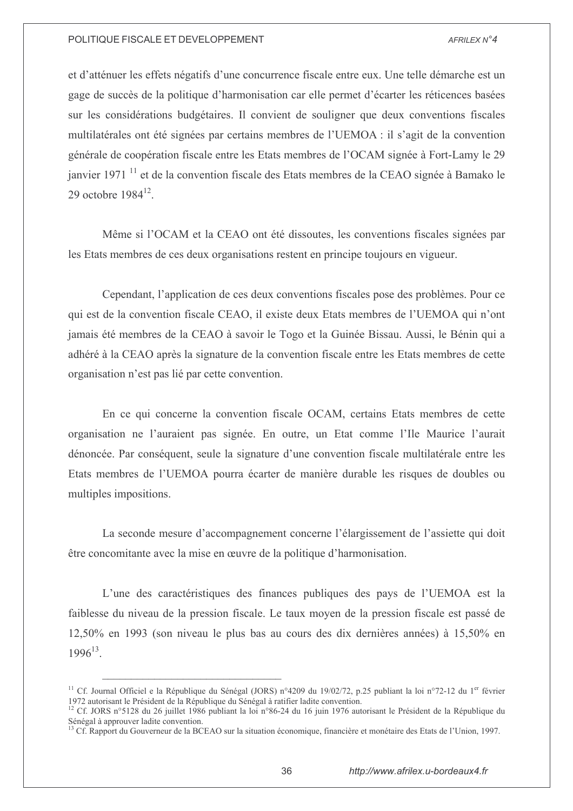et d'atténuer les effets négatifs d'une concurrence fiscale entre eux. Une telle démarche est un gage de succès de la politique d'harmonisation car elle permet d'écarter les réticences basées sur les considérations budgétaires. Il convient de souligner que deux conventions fiscales multilatérales ont été signées par certains membres de l'UEMOA : il s'agit de la convention générale de coopération fiscale entre les Etats membres de l'OCAM signée à Fort-Lamy le 29 janvier 1971 <sup>11</sup> et de la convention fiscale des Etats membres de la CEAO signée à Bamako le 29 octobre  $1984^{12}$ .

Même si l'OCAM et la CEAO ont été dissoutes, les conventions fiscales signées par les Etats membres de ces deux organisations restent en principe toujours en vigueur.

Cependant, l'application de ces deux conventions fiscales pose des problèmes. Pour ce qui est de la convention fiscale CEAO, il existe deux Etats membres de l'UEMOA qui n'ont jamais été membres de la CEAO à savoir le Togo et la Guinée Bissau. Aussi, le Bénin qui a adhéré à la CEAO après la signature de la convention fiscale entre les Etats membres de cette organisation n'est pas lié par cette convention.

En ce qui concerne la convention fiscale OCAM, certains Etats membres de cette organisation ne l'auraient pas signée. En outre, un Etat comme l'Ile Maurice l'aurait dénoncée. Par conséquent, seule la signature d'une convention fiscale multilatérale entre les Etats membres de l'UEMOA pourra écarter de manière durable les risques de doubles ou multiples impositions.

La seconde mesure d'accompagnement concerne l'élargissement de l'assiette qui doit être concomitante avec la mise en œuvre de la politique d'harmonisation.

L'une des caractéristiques des finances publiques des pays de l'UEMOA est la faiblesse du niveau de la pression fiscale. Le taux moyen de la pression fiscale est passé de 12,50% en 1993 (son niveau le plus bas au cours des dix dernières années) à 15,50% en  $1996^{13}$ 

<sup>&</sup>lt;sup>11</sup> Cf. Journal Officiel e la République du Sénégal (JORS) n°4209 du 19/02/72, p.25 publiant la loi n°72-12 du 1<sup>er</sup> février 1972 autorisant le Président de la République du Sénégal à ratifier ladite convention.

<sup>&</sup>lt;sup>12</sup> Cf. JORS n°5128 du 26 juillet 1986 publiant la loi n°86-24 du 16 juin 1976 autorisant le Président de la République du Sénégal à approuver ladite convention.<br><sup>13</sup> Cf. Rapport du Gouverneur de la BCEAO sur la situation économique, financière et monétaire des Etats de l'Union, 1997.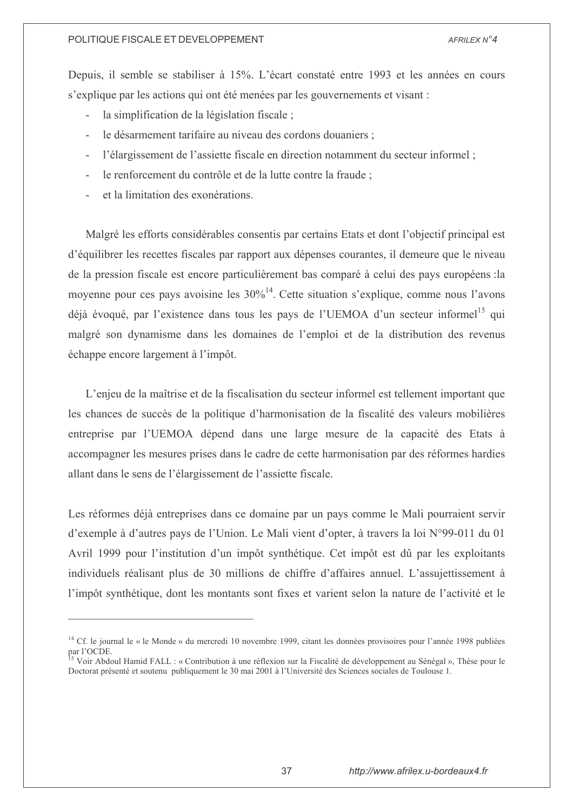Depuis, il semble se stabiliser à 15%. L'écart constaté entre 1993 et les années en cours s'explique par les actions qui ont été menées par les gouvernements et visant :

- la simplification de la législation fiscale;  $\overline{a}$
- le désarmement tarifaire au niveau des cordons douaniers;  $\overline{a}$
- l'élargissement de l'assiette fiscale en direction notamment du secteur informel;  $\mathcal{L}^{\pm}$
- le renforcement du contrôle et de la lutte contre la fraude :  $\mathbf{r}$
- et la limitation des exonérations.

Malgré les efforts considérables consentis par certains Etats et dont l'objectif principal est d'équilibrer les recettes fiscales par rapport aux dépenses courantes, il demeure que le niveau de la pression fiscale est encore particulièrement bas comparé à celui des pays européens : la movenne pour ces pays avoisine les  $30\%^{14}$ . Cette situation s'explique, comme nous l'avons déjà évoqué, par l'existence dans tous les pays de l'UEMOA d'un secteur informel<sup>15</sup> qui malgré son dynamisme dans les domaines de l'emploi et de la distribution des revenus échappe encore largement à l'impôt.

L'enjeu de la maîtrise et de la fiscalisation du secteur informel est tellement important que les chances de succès de la politique d'harmonisation de la fiscalité des valeurs mobilières entreprise par l'UEMOA dépend dans une large mesure de la capacité des Etats à accompagner les mesures prises dans le cadre de cette harmonisation par des réformes hardies allant dans le sens de l'élargissement de l'assiette fiscale.

Les réformes déjà entreprises dans ce domaine par un pays comme le Mali pourraient servir d'exemple à d'autres pays de l'Union. Le Mali vient d'opter, à travers la loi N°99-011 du 01 Avril 1999 pour l'institution d'un impôt synthétique. Cet impôt est dû par les exploitants individuels réalisant plus de 30 millions de chiffre d'affaires annuel. L'assujettissement à l'impôt synthétique, dont les montants sont fixes et varient selon la nature de l'activité et le

<sup>&</sup>lt;sup>14</sup> Cf. le journal le « le Monde » du mercredi 10 novembre 1999, citant les données provisoires pour l'année 1998 publiées par l'OCDE.

Voir Abdoul Hamid FALL : « Contribution à une réflexion sur la Fiscalité de développement au Sénégal », Thèse pour le Doctorat présenté et soutenu publiquement le 30 mai 2001 à l'Université des Sciences sociales de Toulouse 1.